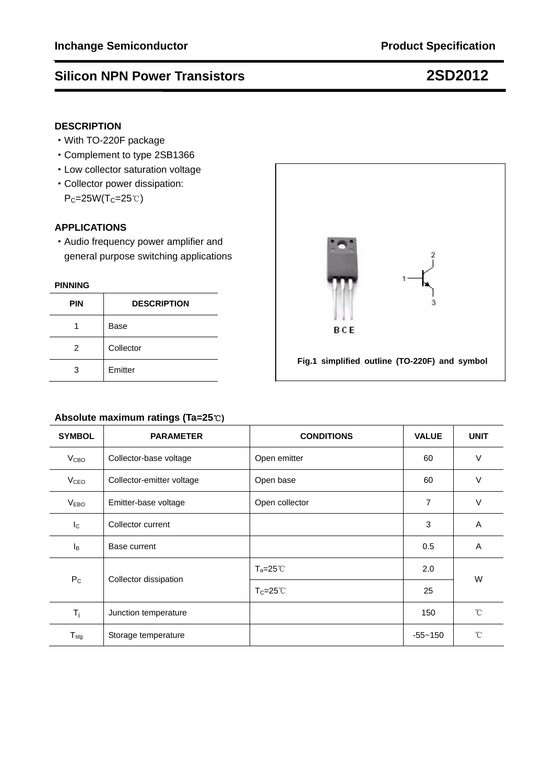# **Silicon NPN Power Transistors 2SD2012**

## **DESCRIPTION**

- ·With TO-220F package
- ·Complement to type 2SB1366
- ·Low collector saturation voltage
- ·Collector power dissipation:  $P_C=25W(T_C=25°C)$

## **APPLICATIONS**

·Audio frequency power amplifier and general purpose switching applications

### **PINNING**

| <b>PIN</b> | <b>DESCRIPTION</b> |  |
|------------|--------------------|--|
|            | <b>Base</b>        |  |
| 2          | Collector          |  |
| 3          | Emitter            |  |



### **Absolute maximum ratings (Ta=25**℃**)**

| <b>SYMBOL</b>    | <b>PARAMETER</b>                       | <b>CONDITIONS</b>   | <b>VALUE</b> | <b>UNIT</b>  |  |
|------------------|----------------------------------------|---------------------|--------------|--------------|--|
| V <sub>CBO</sub> | Collector-base voltage                 | Open emitter        | 60           | $\vee$       |  |
| V <sub>CEO</sub> | Collector-emitter voltage              | Open base           | 60           | $\vee$       |  |
| V <sub>EBO</sub> | Emitter-base voltage<br>Open collector |                     | 7            | $\vee$       |  |
| $I_{\rm C}$      | Collector current                      |                     | 3            | A            |  |
| Iв               | Base current                           |                     | 0.5          | Α            |  |
| $P_{C}$          |                                        | $T_a = 25^{\circ}$  | 2.0          | W            |  |
|                  | Collector dissipation                  | $T_C = 25^{\circ}C$ | 25           |              |  |
| $T_{j}$          | Junction temperature                   |                     | 150          | $^{\circ}$ C |  |
| $T_{\text{stg}}$ | Storage temperature                    |                     | $-55 - 150$  | $^{\circ}$ C |  |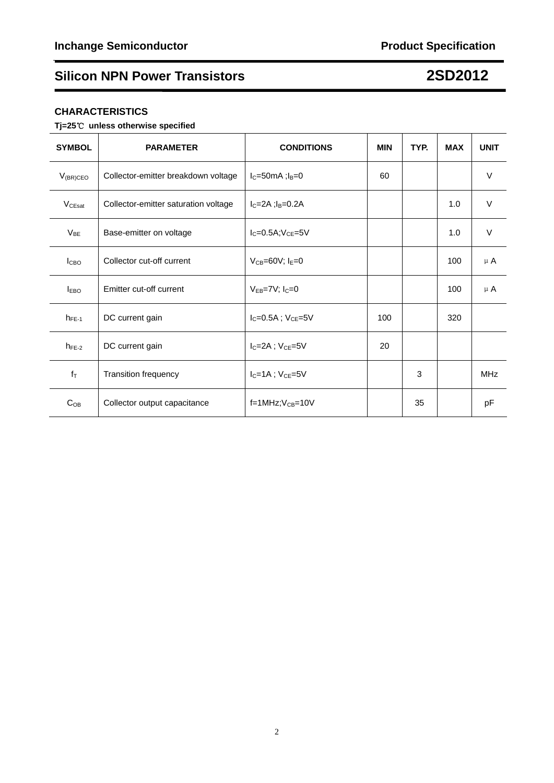# **Silicon NPN Power Transistors 2SD2012**

# **CHARACTERISTICS**

# **Tj=25**℃ **unless otherwise specified**

| <b>SYMBOL</b>           | <b>PARAMETER</b>                     | <b>CONDITIONS</b>              | <b>MIN</b> | TYP. | <b>MAX</b> | <b>UNIT</b>     |
|-------------------------|--------------------------------------|--------------------------------|------------|------|------------|-----------------|
| $V_{(BR)CEO}$           | Collector-emitter breakdown voltage  | $I_C = 50$ mA; $I_B = 0$       | 60         |      |            | $\vee$          |
| V <sub>CEsat</sub>      | Collector-emitter saturation voltage | $I_C = 2A$ ; $I_B = 0.2A$      |            |      | 1.0        | $\vee$          |
| $V_{BE}$                | Base-emitter on voltage              | $I_C = 0.5A; V_{CE} = 5V$      |            |      | 1.0        | $\vee$          |
| I <sub>CBO</sub>        | Collector cut-off current            | $V_{CB} = 60V$ ; $I_E = 0$     |            |      | 100        | $\mu$ A         |
| <b>I</b> <sub>EBO</sub> | Emitter cut-off current              | $V_{FB} = 7V$ ; $I_C = 0$      |            |      | 100        | $\mu$ A         |
| $h_{FE-1}$              | DC current gain                      | $I_{C} = 0.5A$ ; $V_{CE} = 5V$ | 100        |      | 320        |                 |
| $h_{FE-2}$              | DC current gain                      | $I_C = 2A$ ; $V_{CE} = 5V$     | 20         |      |            |                 |
| $f_T$                   | <b>Transition frequency</b>          | $I_C = 1A$ ; $V_{CE} = 5V$     |            | 3    |            | M <sub>Hz</sub> |
| $C_{OB}$                | Collector output capacitance         | $f=1$ MHz; $V_{CB}=10V$        |            | 35   |            | pF              |